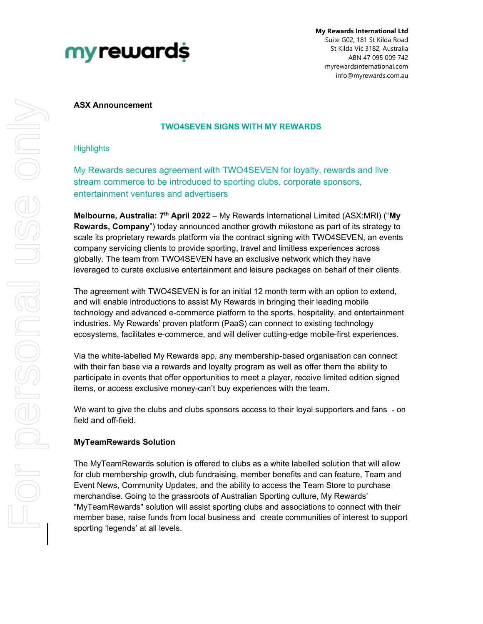

My Rewards International Ltd Suite G02, 181 St Kilda Road St Kilda Vic 3182, Australia ABN 47 095 009 742 myrewardsinternational.com info@myrewards.com.au

### ASX Announcement

# TWO4SEVEN SIGNS WITH MY REWARDS

### **Highlights**

My Rewards secures agreement with TWO4SEVEN for loyalty, rewards and live stream commerce to be introduced to sporting clubs, corporate sponsors, entertainment ventures and advertisers

Melbourne, Australia:  $7<sup>th</sup>$  April 2022 – My Rewards International Limited (ASX:MRI) ("My Rewards, Company") today announced another growth milestone as part of its strategy to scale its proprietary rewards platform via the contract signing with TWO4SEVEN, an events company servicing clients to provide sporting, travel and limitless experiences across globally. The team from TWO4SEVEN have an exclusive network which they have leveraged to curate exclusive entertainment and leisure packages on behalf of their clients.

The agreement with TWO4SEVEN is for an initial 12 month term with an option to extend, and will enable introductions to assist My Rewards in bringing their leading mobile technology and advanced e-commerce platform to the sports, hospitality, and entertainment industries. My Rewards' proven platform (PaaS) can connect to existing technology ecosystems, facilitates e-commerce, and will deliver cutting-edge mobile-first experiences.

Via the white-labelled My Rewards app, any membership-based organisation can connect with their fan base via a rewards and loyalty program as well as offer them the ability to participate in events that offer opportunities to meet a player, receive limited edition signed items, or access exclusive money-can't buy experiences with the team.

We want to give the clubs and clubs sponsors access to their loyal supporters and fans - on field and off-field.

# MyTeamRewards Solution

The MyTeamRewards solution is offered to clubs as a white labelled solution that will allow for club membership growth, club fundraising, member benefits and can feature, Team and Event News, Community Updates, and the ability to access the Team Store to purchase merchandise. Going to the grassroots of Australian Sporting culture, My Rewards' "MyTeamRewards" solution will assist sporting clubs and associations to connect with their member base, raise funds from local business and create communities of interest to support sporting 'legends' at all levels.